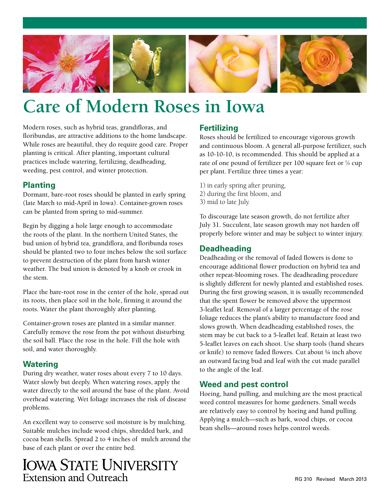

# **Care of Modern Roses in Iowa**

Modern roses, such as hybrid teas, grandifloras, and floribundas, are attractive additions to the home landscape. While roses are beautiful, they do require good care. Proper planting is critical. After planting, important cultural practices include watering, fertilizing, deadheading, weeding, pest control, and winter protection.

#### **Planting**

Dormant, bare-root roses should be planted in early spring (late March to mid-April in Iowa). Container-grown roses can be planted from spring to mid-summer.

Begin by digging a hole large enough to accommodate the roots of the plant. In the northern United States, the bud union of hybrid tea, grandiflora, and floribunda roses should be planted two to four inches below the soil surface to prevent destruction of the plant from harsh winter weather. The bud union is denoted by a knob or crook in the stem.

Place the bare-root rose in the center of the hole, spread out its roots, then place soil in the hole, firming it around the roots. Water the plant thoroughly after planting.

Container-grown roses are planted in a similar manner. Carefully remove the rose from the pot without disturbing the soil ball. Place the rose in the hole. Fill the hole with soil, and water thoroughly.

#### **Watering**

During dry weather, water roses about every 7 to 10 days. Water slowly but deeply. When watering roses, apply the water directly to the soil around the base of the plant. Avoid overhead watering. Wet foliage increases the risk of disease problems.

An excellent way to conserve soil moisture is by mulching. Suitable mulches include wood chips, shredded bark, and cocoa bean shells. Spread 2 to 4 inches of mulch around the base of each plant or over the entire bed.

# **IOWA STATE UNIVERSITY** Extension and Outreach

## **Fertilizing**

Roses should be fertilized to encourage vigorous growth and continuous bloom. A general all-purpose fertilizer, such as 10-10-10, is recommended. This should be applied at a rate of one pound of fertilizer per 100 square feet or 1/4 cup per plant. Fertilize three times a year:

- 1) in early spring after pruning,
- 2) during the first bloom, and
- 3) mid to late July.

To discourage late season growth, do not fertilize after July 31. Succulent, late season growth may not harden off properly before winter and may be subject to winter injury.

# **Deadheading**

Deadheading or the removal of faded flowers is done to encourage additional flower production on hybrid tea and other repeat-blooming roses. The deadheading procedure is slightly different for newly planted and established roses. During the first growing season, it is usually recommended that the spent flower be removed above the uppermost 3-leaflet leaf. Removal of a larger percentage of the rose foliage reduces the plant's ability to manufacture food and slows growth. When deadheading established roses, the stem may be cut back to a 5-leaflet leaf. Retain at least two 5-leaflet leaves on each shoot. Use sharp tools (hand shears or knife) to remove faded flowers. Cut about ¼ inch above an outward facing bud and leaf with the cut made parallel to the angle of the leaf.

## **Weed and pest control**

Hoeing, hand pulling, and mulching are the most practical weed control measures for home gardeners. Small weeds are relatively easy to control by hoeing and hand pulling. Applying a mulch—such as bark, wood chips, or cocoa bean shells—around roses helps control weeds.